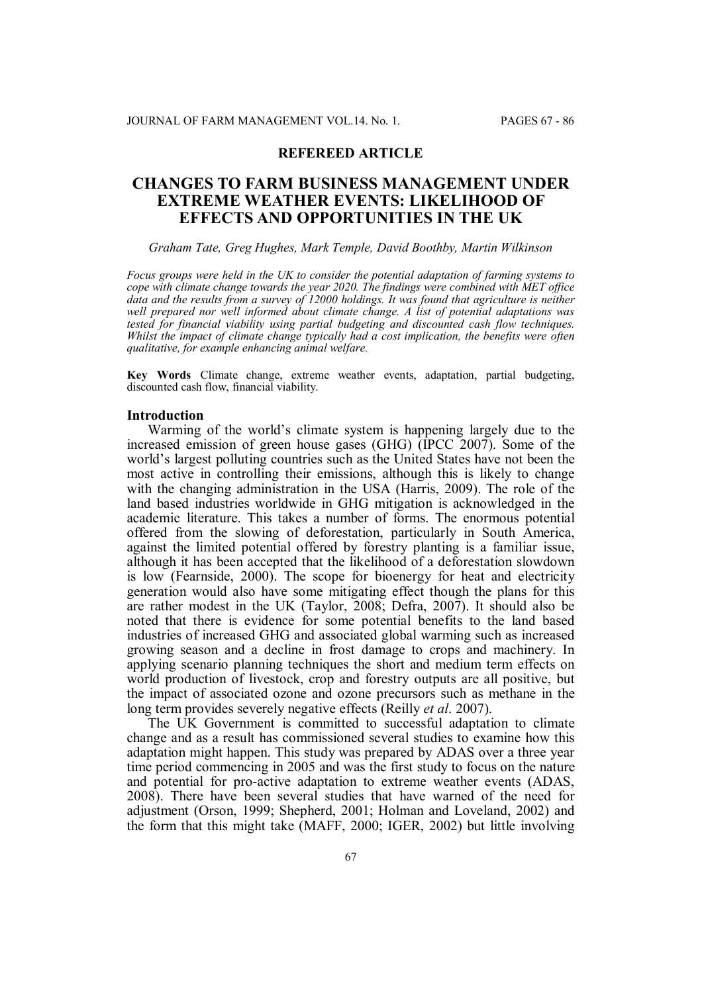## **REFEREED ARTICLE**

## **CHANGES TO FARM BUSINESS MANAGEMENT UNDER EXTREME WEATHER EVENTS: LIKELIHOOD OF EFFECTS AND OPPORTUNITIES IN THE UK**

#### *Graham Tate, Greg Hughes, Mark Temple, David Boothby, Martin Wilkinson*

*Focus groups were held in the UK to consider the potential adaptation of farming systems to cope with climate change towards the year 2020. The findings were combined with MET office data and the results from a survey of 12000 holdings. It was found that agriculture is neither well prepared nor well informed about climate change. A list of potential adaptations was tested for financial viability using partial budgeting and discounted cash flow techniques. Whilst the impact of climate change typically had a cost implication, the benefits were often qualitative, for example enhancing animal welfare.*

**Key Words** Climate change, extreme weather events, adaptation, partial budgeting, discounted cash flow, financial viability.

#### **Introduction**

Warming of the world's climate system is happening largely due to the increased emission of green house gases (GHG) (IPCC 2007). Some of the world's largest polluting countries such as the United States have not been the most active in controlling their emissions, although this is likely to change with the changing administration in the USA (Harris, 2009). The role of the land based industries worldwide in GHG mitigation is acknowledged in the academic literature. This takes a number of forms. The enormous potential offered from the slowing of deforestation, particularly in South America, against the limited potential offered by forestry planting is a familiar issue, although it has been accepted that the likelihood of a deforestation slowdown is low (Fearnside, 2000). The scope for bioenergy for heat and electricity generation would also have some mitigating effect though the plans for this are rather modest in the UK (Taylor, 2008; Defra, 2007). It should also be noted that there is evidence for some potential benefits to the land based industries of increased GHG and associated global warming such as increased growing season and a decline in frost damage to crops and machinery. In applying scenario planning techniques the short and medium term effects on world production of livestock, crop and forestry outputs are all positive, but the impact of associated ozone and ozone precursors such as methane in the long term provides severely negative effects (Reilly *et al*. 2007).

The UK Government is committed to successful adaptation to climate change and as a result has commissioned several studies to examine how this adaptation might happen. This study was prepared by ADAS over a three year time period commencing in 2005 and was the first study to focus on the nature and potential for pro-active adaptation to extreme weather events (ADAS, 2008). There have been several studies that have warned of the need for adjustment (Orson, 1999; Shepherd, 2001; Holman and Loveland, 2002) and the form that this might take (MAFF, 2000; IGER, 2002) but little involving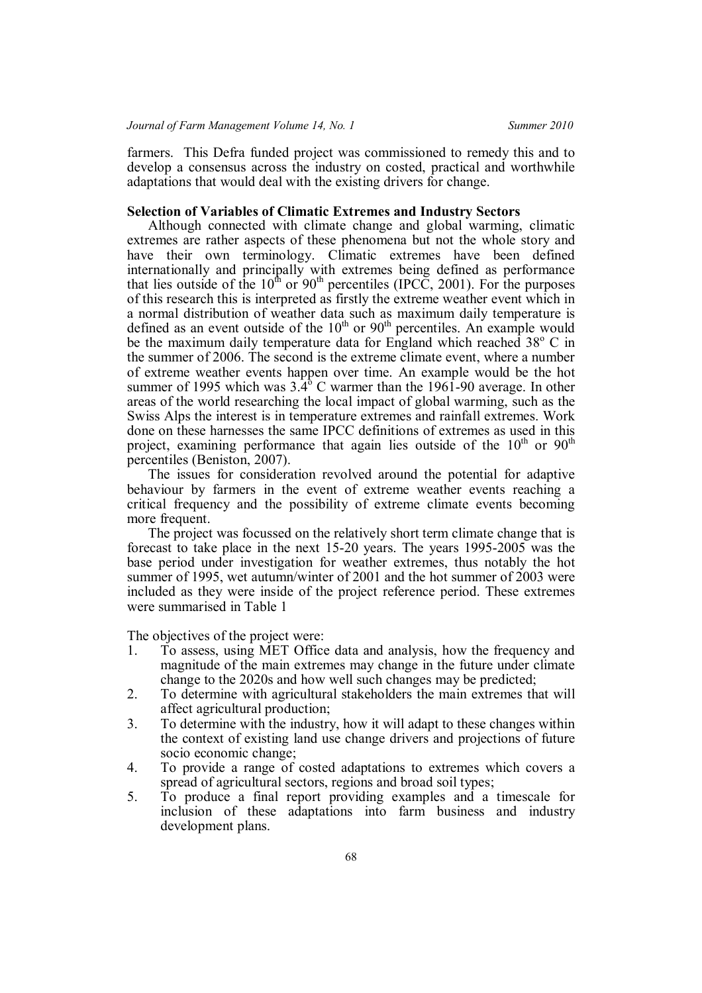farmers. This Defra funded project was commissioned to remedy this and to develop a consensus across the industry on costed, practical and worthwhile adaptations that would deal with the existing drivers for change.

## **Selection of Variables of Climatic Extremes and Industry Sectors**

Although connected with climate change and global warming, climatic extremes are rather aspects of these phenomena but not the whole story and have their own terminology. Climatic extremes have been defined internationally and principally with extremes being defined as performance that lies outside of the  $10^{th}$  or  $90^{th}$  percentiles (IPCC, 2001). For the purposes of this research this is interpreted as firstly the extreme weather event which in a normal distribution of weather data such as maximum daily temperature is defined as an event outside of the  $10<sup>th</sup>$  or  $90<sup>th</sup>$  percentiles. An example would be the maximum daily temperature data for England which reached  $38^{\circ}$  C in the summer of 2006. The second is the extreme climate event, where a number of extreme weather events happen over time. An example would be the hot summer of 1995 which was  $3.4^{\circ}$  C warmer than the 1961-90 average. In other areas of the world researching the local impact of global warming, such as the Swiss Alps the interest is in temperature extremes and rainfall extremes. Work done on these harnesses the same IPCC definitions of extremes as used in this project, examining performance that again lies outside of the  $10<sup>th</sup>$  or  $90<sup>th</sup>$ percentiles (Beniston, 2007).

The issues for consideration revolved around the potential for adaptive behaviour by farmers in the event of extreme weather events reaching a critical frequency and the possibility of extreme climate events becoming more frequent.

The project was focussed on the relatively short term climate change that is forecast to take place in the next 15-20 years. The years 1995-2005 was the base period under investigation for weather extremes, thus notably the hot summer of 1995, wet autumn/winter of 2001 and the hot summer of 2003 were included as they were inside of the project reference period. These extremes were summarised in Table 1

The objectives of the project were:

- 1. To assess, using MET Office data and analysis, how the frequency and magnitude of the main extremes may change in the future under climate change to the 2020s and how well such changes may be predicted;
- 2. To determine with agricultural stakeholders the main extremes that will affect agricultural production;
- 3. To determine with the industry, how it will adapt to these changes within the context of existing land use change drivers and projections of future socio economic change;
- 4. To provide a range of costed adaptations to extremes which covers a spread of agricultural sectors, regions and broad soil types;
- 5. To produce a final report providing examples and a timescale for inclusion of these adaptations into farm business and industry development plans.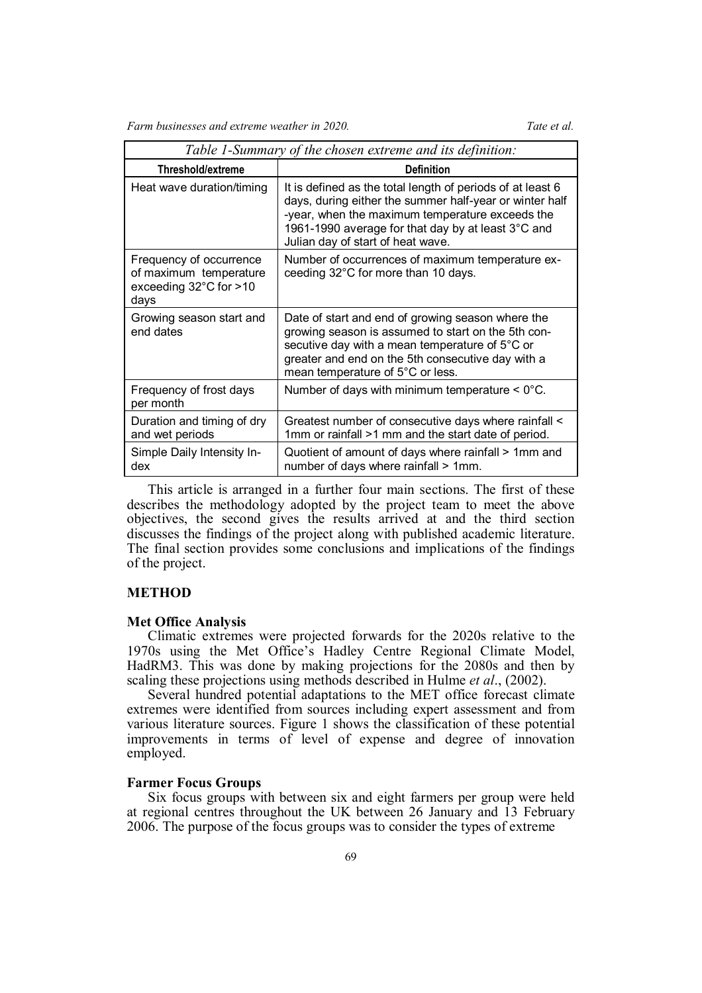|                                                                                                 | Table 1-Summary of the chosen extreme and its definition:                                                                                                                                                                                                           |
|-------------------------------------------------------------------------------------------------|---------------------------------------------------------------------------------------------------------------------------------------------------------------------------------------------------------------------------------------------------------------------|
| <b>Threshold/extreme</b>                                                                        | <b>Definition</b>                                                                                                                                                                                                                                                   |
| Heat wave duration/timing                                                                       | It is defined as the total length of periods of at least 6<br>days, during either the summer half-year or winter half<br>-year, when the maximum temperature exceeds the<br>1961-1990 average for that day by at least 3°C and<br>Julian day of start of heat wave. |
| Frequency of occurrence<br>of maximum temperature<br>exceeding $32^{\circ}$ C for $>10$<br>days | Number of occurrences of maximum temperature ex-<br>ceeding 32°C for more than 10 days.                                                                                                                                                                             |
| Growing season start and<br>end dates                                                           | Date of start and end of growing season where the<br>growing season is assumed to start on the 5th con-<br>secutive day with a mean temperature of 5°C or<br>greater and end on the 5th consecutive day with a<br>mean temperature of 5°C or less.                  |
| Frequency of frost days<br>per month                                                            | Number of days with minimum temperature $< 0^{\circ}$ C.                                                                                                                                                                                                            |
| Duration and timing of dry<br>and wet periods                                                   | Greatest number of consecutive days where rainfall <<br>1mm or rainfall >1 mm and the start date of period.                                                                                                                                                         |
| Simple Daily Intensity In-<br>dex                                                               | Quotient of amount of days where rainfall > 1mm and<br>number of days where rainfall > 1mm.                                                                                                                                                                         |

This article is arranged in a further four main sections. The first of these describes the methodology adopted by the project team to meet the above objectives, the second gives the results arrived at and the third section discusses the findings of the project along with published academic literature. The final section provides some conclusions and implications of the findings of the project.

## **METHOD**

#### **Met Office Analysis**

Climatic extremes were projected forwards for the 2020s relative to the 1970s using the Met Office's Hadley Centre Regional Climate Model, HadRM3. This was done by making projections for the 2080s and then by scaling these projections using methods described in Hulme *et al*., (2002).

Several hundred potential adaptations to the MET office forecast climate extremes were identified from sources including expert assessment and from various literature sources. Figure 1 shows the classification of these potential improvements in terms of level of expense and degree of innovation employed.

## **Farmer Focus Groups**

Six focus groups with between six and eight farmers per group were held at regional centres throughout the UK between 26 January and 13 February 2006. The purpose of the focus groups was to consider the types of extreme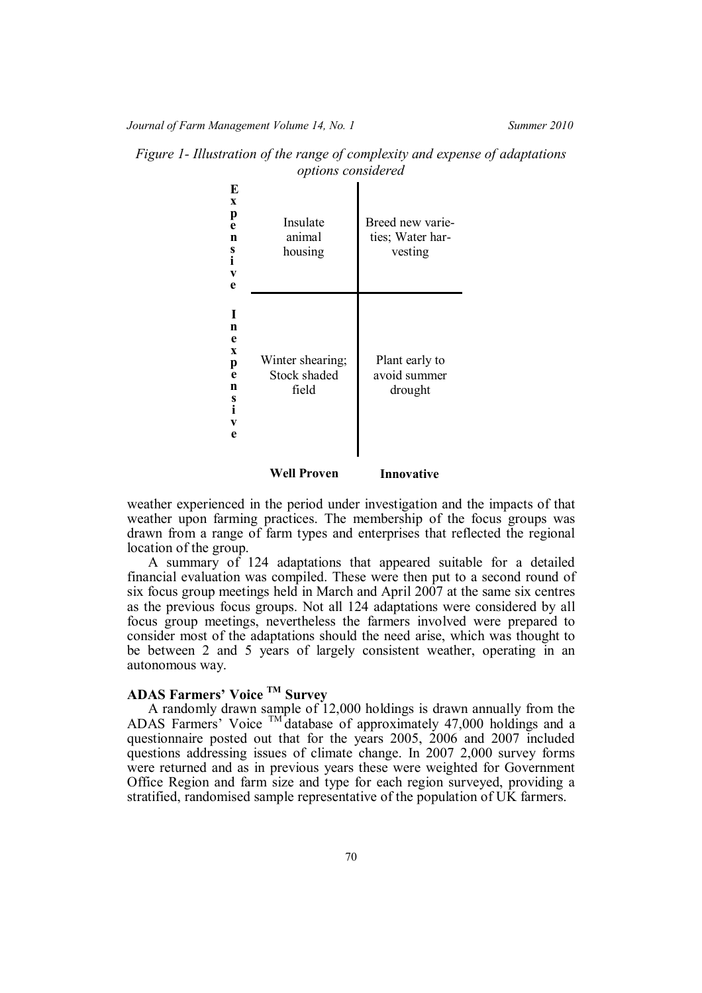| Insulate           | Breed new varie- |
|--------------------|------------------|
| animal             | ties; Water har- |
| housing            | vesting          |
| Winter shearing;   | Plant early to   |
| Stock shaded       | avoid summer     |
| field              | drought          |
| <b>Well Proven</b> | Innovative       |

*Figure 1- Illustration of the range of complexity and expense of adaptations options considered*

weather experienced in the period under investigation and the impacts of that weather upon farming practices. The membership of the focus groups was drawn from a range of farm types and enterprises that reflected the regional location of the group.

A summary of 124 adaptations that appeared suitable for a detailed financial evaluation was compiled. These were then put to a second round of six focus group meetings held in March and April 2007 at the same six centres as the previous focus groups. Not all 124 adaptations were considered by all focus group meetings, nevertheless the farmers involved were prepared to consider most of the adaptations should the need arise, which was thought to be between 2 and 5 years of largely consistent weather, operating in an autonomous way.

# **ADAS Farmers' Voice TM Survey**

A randomly drawn sample of 12,000 holdings is drawn annually from the ADAS Farmers' Voice  $TM$  database of approximately 47,000 holdings and a questionnaire posted out that for the years 2005, 2006 and 2007 included questions addressing issues of climate change. In 2007 2,000 survey forms were returned and as in previous years these were weighted for Government Office Region and farm size and type for each region surveyed, providing a stratified, randomised sample representative of the population of UK farmers.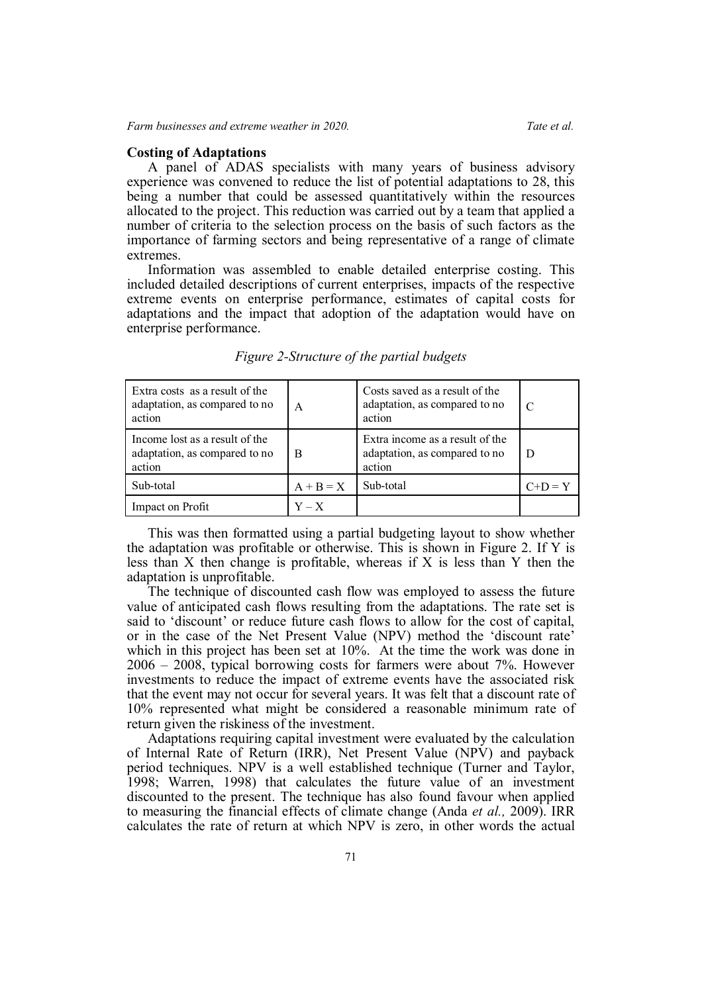## **Costing of Adaptations**

A panel of ADAS specialists with many years of business advisory experience was convened to reduce the list of potential adaptations to 28, this being a number that could be assessed quantitatively within the resources allocated to the project. This reduction was carried out by a team that applied a number of criteria to the selection process on the basis of such factors as the importance of farming sectors and being representative of a range of climate extremes.

Information was assembled to enable detailed enterprise costing. This included detailed descriptions of current enterprises, impacts of the respective extreme events on enterprise performance, estimates of capital costs for adaptations and the impact that adoption of the adaptation would have on enterprise performance.

| Extra costs as a result of the<br>adaptation, as compared to no<br>action | A           | Costs saved as a result of the<br>adaptation, as compared to no<br>action  | C         |
|---------------------------------------------------------------------------|-------------|----------------------------------------------------------------------------|-----------|
| Income lost as a result of the<br>adaptation, as compared to no<br>action | B           | Extra income as a result of the<br>adaptation, as compared to no<br>action |           |
| Sub-total                                                                 | $A + B = X$ | Sub-total                                                                  | $C+D = Y$ |
| Impact on Profit                                                          | $Y - X$     |                                                                            |           |

*Figure 2-Structure of the partial budgets*

This was then formatted using a partial budgeting layout to show whether the adaptation was profitable or otherwise. This is shown in Figure 2. If Y is less than X then change is profitable, whereas if X is less than Y then the adaptation is unprofitable.

The technique of discounted cash flow was employed to assess the future value of anticipated cash flows resulting from the adaptations. The rate set is said to 'discount' or reduce future cash flows to allow for the cost of capital, or in the case of the Net Present Value (NPV) method the 'discount rate' which in this project has been set at 10%. At the time the work was done in 2006 – 2008, typical borrowing costs for farmers were about 7%. However investments to reduce the impact of extreme events have the associated risk that the event may not occur for several years. It was felt that a discount rate of 10% represented what might be considered a reasonable minimum rate of return given the riskiness of the investment.

Adaptations requiring capital investment were evaluated by the calculation of Internal Rate of Return (IRR), Net Present Value (NPV) and payback period techniques. NPV is a well established technique (Turner and Taylor, 1998; Warren, 1998) that calculates the future value of an investment discounted to the present. The technique has also found favour when applied to measuring the financial effects of climate change (Anda *et al.,* 2009). IRR calculates the rate of return at which NPV is zero, in other words the actual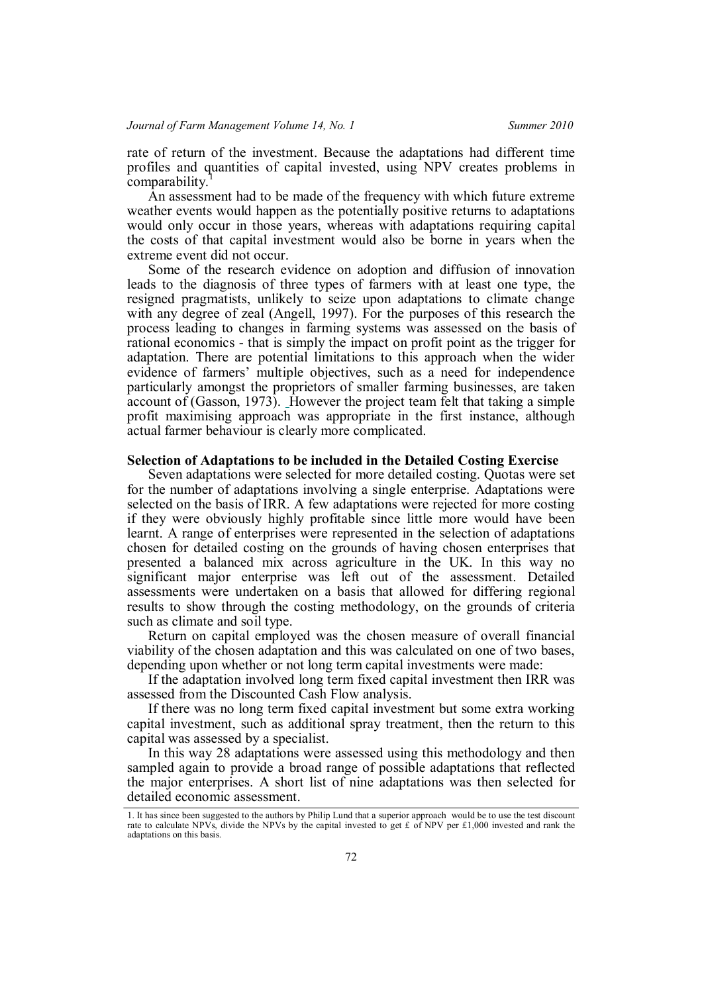rate of return of the investment. Because the adaptations had different time profiles and quantities of capital invested, using NPV creates problems in comparability.

An assessment had to be made of the frequency with which future extreme weather events would happen as the potentially positive returns to adaptations would only occur in those years, whereas with adaptations requiring capital the costs of that capital investment would also be borne in years when the extreme event did not occur.

Some of the research evidence on adoption and diffusion of innovation leads to the diagnosis of three types of farmers with at least one type, the resigned pragmatists, unlikely to seize upon adaptations to climate change with any degree of zeal (Angell, 1997). For the purposes of this research the process leading to changes in farming systems was assessed on the basis of rational economics - that is simply the impact on profit point as the trigger for adaptation. There are potential limitations to this approach when the wider evidence of farmers' multiple objectives, such as a need for independence particularly amongst the proprietors of smaller farming businesses, are taken account of (Gasson, 1973). However the project team felt that taking a simple profit maximising approach was appropriate in the first instance, although actual farmer behaviour is clearly more complicated.

## **Selection of Adaptations to be included in the Detailed Costing Exercise**

Seven adaptations were selected for more detailed costing. Quotas were set for the number of adaptations involving a single enterprise. Adaptations were selected on the basis of IRR. A few adaptations were rejected for more costing if they were obviously highly profitable since little more would have been learnt. A range of enterprises were represented in the selection of adaptations chosen for detailed costing on the grounds of having chosen enterprises that presented a balanced mix across agriculture in the UK. In this way no significant major enterprise was left out of the assessment. Detailed assessments were undertaken on a basis that allowed for differing regional results to show through the costing methodology, on the grounds of criteria such as climate and soil type.

Return on capital employed was the chosen measure of overall financial viability of the chosen adaptation and this was calculated on one of two bases, depending upon whether or not long term capital investments were made:

If the adaptation involved long term fixed capital investment then IRR was assessed from the Discounted Cash Flow analysis.

If there was no long term fixed capital investment but some extra working capital investment, such as additional spray treatment, then the return to this capital was assessed by a specialist.

In this way 28 adaptations were assessed using this methodology and then sampled again to provide a broad range of possible adaptations that reflected the major enterprises. A short list of nine adaptations was then selected for detailed economic assessment.

<sup>1.</sup> It has since been suggested to the authors by Philip Lund that a superior approach would be to use the test discount rate to calculate NPVs, divide the NPVs by the capital invested to get £ of NPV per £1,000 invested and rank the adaptations on this basis.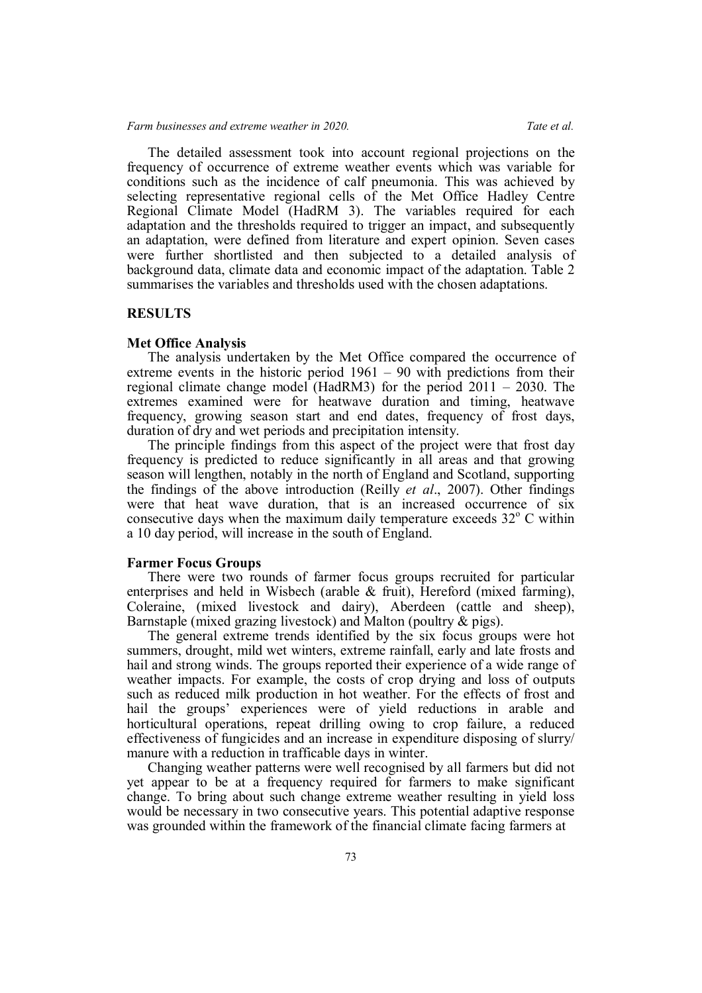## *Farm businesses and extreme weather in 2020. Tate et al.*

The detailed assessment took into account regional projections on the frequency of occurrence of extreme weather events which was variable for conditions such as the incidence of calf pneumonia. This was achieved by selecting representative regional cells of the Met Office Hadley Centre Regional Climate Model (HadRM 3). The variables required for each adaptation and the thresholds required to trigger an impact, and subsequently an adaptation, were defined from literature and expert opinion. Seven cases were further shortlisted and then subjected to a detailed analysis of background data, climate data and economic impact of the adaptation. Table 2 summarises the variables and thresholds used with the chosen adaptations.

## **RESULTS**

#### **Met Office Analysis**

The analysis undertaken by the Met Office compared the occurrence of extreme events in the historic period 1961 – 90 with predictions from their regional climate change model (HadRM3) for the period 2011 – 2030. The extremes examined were for heatwave duration and timing, heatwave frequency, growing season start and end dates, frequency of frost days, duration of dry and wet periods and precipitation intensity.

The principle findings from this aspect of the project were that frost day frequency is predicted to reduce significantly in all areas and that growing season will lengthen, notably in the north of England and Scotland, supporting the findings of the above introduction (Reilly *et al*., 2007). Other findings were that heat wave duration, that is an increased occurrence of six consecutive days when the maximum daily temperature exceeds  $32^{\circ}$  C within a 10 day period, will increase in the south of England.

## **Farmer Focus Groups**

There were two rounds of farmer focus groups recruited for particular enterprises and held in Wisbech (arable  $\&$  fruit), Hereford (mixed farming), Coleraine, (mixed livestock and dairy), Aberdeen (cattle and sheep), Barnstaple (mixed grazing livestock) and Malton (poultry & pigs).

The general extreme trends identified by the six focus groups were hot summers, drought, mild wet winters, extreme rainfall, early and late frosts and hail and strong winds. The groups reported their experience of a wide range of weather impacts. For example, the costs of crop drying and loss of outputs such as reduced milk production in hot weather. For the effects of frost and hail the groups' experiences were of yield reductions in arable and horticultural operations, repeat drilling owing to crop failure, a reduced effectiveness of fungicides and an increase in expenditure disposing of slurry/ manure with a reduction in trafficable days in winter.

Changing weather patterns were well recognised by all farmers but did not yet appear to be at a frequency required for farmers to make significant change. To bring about such change extreme weather resulting in yield loss would be necessary in two consecutive years. This potential adaptive response was grounded within the framework of the financial climate facing farmers at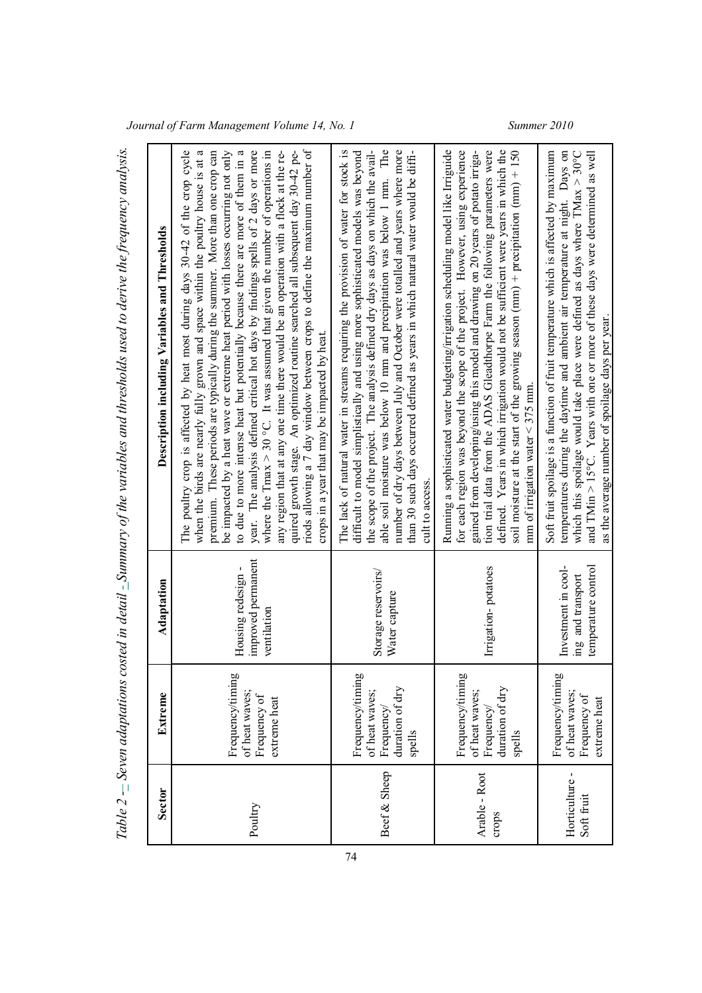| <b>Sector</b>               | Extreme                                                                      | Adaptation                                                      | Description including Variables and Thresholds                                                                                                                                                                                                                                                                                                                                                                                                                                                                                                                                                                                                                                                                                                                                                                                                                                                               |
|-----------------------------|------------------------------------------------------------------------------|-----------------------------------------------------------------|--------------------------------------------------------------------------------------------------------------------------------------------------------------------------------------------------------------------------------------------------------------------------------------------------------------------------------------------------------------------------------------------------------------------------------------------------------------------------------------------------------------------------------------------------------------------------------------------------------------------------------------------------------------------------------------------------------------------------------------------------------------------------------------------------------------------------------------------------------------------------------------------------------------|
| Poultry                     | Frequency/timing<br>of heat waves;<br>Frequency of<br>extreme heat           | improved permanent<br>Housing redesign-<br>ventilation          | year. The analysis defined critical hot days by findings spells of 2 days or more<br>riods allowing a 7 day window between crops to define the maximum number of<br>when the birds are nearly fully grown and space within the poultry house is at a<br>be impacted by a heat wave or extreme heat period with losses occurring not only<br>to due to more intense heat but potentially because there are more of them in a<br>where the Tmax $>$ 30 °C. It was assumed that given the number of operations in<br>The poultry crop is affected by heat most during days 30-42 of the crop cycle<br>premium. These periods are typically during the summer. More than one crop can<br>any region that at any one time there would be an operation with a flock at the re-<br>quired growth stage. An optimized routine searched all subsequent day 30-42 pe-<br>crops in a year that may be impacted by heat. |
| Beef & Sheep                | Frequency/timing<br>duration of dry<br>of heat waves;<br>Frequency<br>spells | Storage reservoirs/<br>Water capture                            | able soil moisture was below 10 mm and precipitation was below 1 mm. The<br>the scope of the project. The analysis defined dry days as days on which the avail-<br>number of dry days between July and October were totalled and years where more<br>The lack of natural water in streams requiring the provision of water for stock is<br>difficult to model simplistically and using more sophisticated models was beyond<br>than 30 such days occurred defined as years in which natural water would be diffi-<br>cult to access                                                                                                                                                                                                                                                                                                                                                                          |
| Arable - Root<br>crops      | Frequency/timing<br>duration of dry<br>of heat waves;<br>Frequency<br>spells | Irrigation-potatoes                                             | Running a sophisticated water budgeting/irrigation scheduling model like Irriguide<br>defined. Years in which irrigation would not be sufficient were years in which the<br>soil moisture at the start of the growing season (mm) + precipitation (mm) + $150$<br>for each region was beyond the scope of the project. However, using experience<br>tion trial data from the ADAS Gleadthorpe Farm the following parameters were<br>gained from developing/using this model and drawing on 20 years of potato irriga-<br>mm of irrigation water $\leq$ 375 mm.                                                                                                                                                                                                                                                                                                                                               |
| Horticulture-<br>Soft fruit | Frequency/timing<br>of heat waves;<br>Frequency of<br>extreme heat           | temperature control<br>Investment in cool-<br>ing and transport | Soft fruit spoilage is a function of fruit temperature which is affected by maximum<br>which this spoilage would take place were defined as days where $\Gamma$ Max > 30°C<br>temperatures during the daytime and ambient air temperature at night. Days on<br>and $T$ Min $>$ 15°C. Years with one or more of these days were determined as well<br>as the average number of spoilage days per year.                                                                                                                                                                                                                                                                                                                                                                                                                                                                                                        |

*Ta ble 2 -– Se venadaptatio ns c oste d in detail - Su mmary of th evaria bles a nd th resh olds use d to de riv e th efr equency analysis.*

*Journal of Farm Management Volume 14, No. 1 Summer 2010*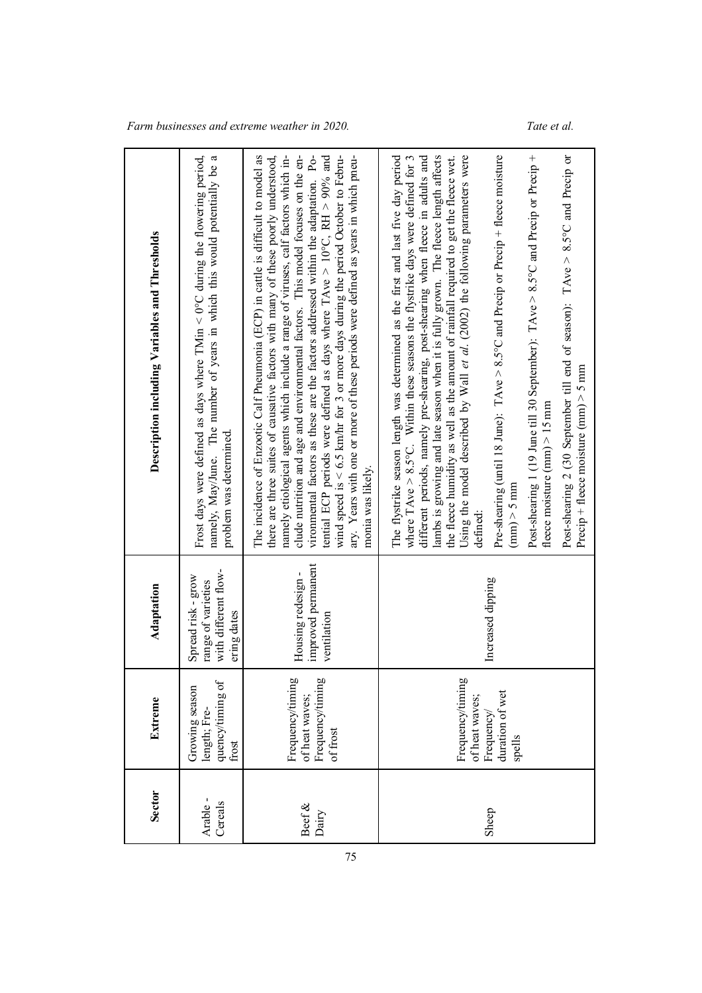$\overline{\phantom{0}}$ 

| <b>Sector</b>      | Extreme                                                                      | Adaptation                                                                      | Description including Variables and Thresholds                                                                                                                                                                                                                                                                                                                                                                                                                                                                                                                                                                                                                                                                                                                                                                                                                                                     |
|--------------------|------------------------------------------------------------------------------|---------------------------------------------------------------------------------|----------------------------------------------------------------------------------------------------------------------------------------------------------------------------------------------------------------------------------------------------------------------------------------------------------------------------------------------------------------------------------------------------------------------------------------------------------------------------------------------------------------------------------------------------------------------------------------------------------------------------------------------------------------------------------------------------------------------------------------------------------------------------------------------------------------------------------------------------------------------------------------------------|
| Arable-<br>Cereals | quency/timing of<br>Growing season<br>length; Fre-<br>frost                  | with different flow-<br>Spread risk - grow<br>range of varieties<br>ering dates | Frost days were defined as days where TMin < 0°C during the flowering period,<br>namely, May/June. The number of years in which this would potentially be a<br>problem was determined.                                                                                                                                                                                                                                                                                                                                                                                                                                                                                                                                                                                                                                                                                                             |
| Beef $\&$<br>Dairy | Frequency/timing<br>Frequency/timing<br>of heat waves;<br>of frost           | improved permanent<br>Housing redesign-<br>ventilation                          | The incidence of Enzootic Calf Pneumonia (ECP) in cattle is difficult to model as<br>there are three suites of causative factors with many of these poorly understood,<br>namely etiological agents which include a range of viruses, calf factors which in-<br>wind speed is $6.5$ km/hr for 3 or more days during the period October to Febru-<br>clude nutrition and age and environmental factors. This model focuses on the en-<br>ary. Years with one or more of these periods were defined as years in which pneu-<br>vironmental factors as these are the factors addressed within the adaptation. Po-<br>tential ECP periods were defined as days where TAve > $10^{\circ}C$ , RH > $90\%$ and<br>monia was likely.                                                                                                                                                                       |
| Sheep              | Frequency/timing<br>duration of wet<br>of heat waves;<br>Frequency<br>spells | Increased dipping                                                               | different periods, namely pre-shearing, post-shearing when fleece in adults and<br>lambs is growing and late season when it is fully grown. The fleece length affects<br>Using the model described by Wall et al. (2002) the following parameters were<br>Pre-shearing (until 18 June): TAve > 8.5°C and Precip or Precip + fleece moisture<br>Post-shearing 1 (19 June till 30 September): TAve > 8.5°C and Precip or Precip +<br>Post-shearing 2 (30 September till end of season): TAve > 8.5°C and Precip or<br>The flystrike season length was determined as the first and last five day period<br>where TAve $> 8.5^{\circ}$ C. Within these seasons the flystrike days were defined for 3<br>the fleece humidity as well as the amount of rainfall required to get the fleece wet.<br>Precip + fleece moisture $(mm) > 5$ mm<br>fleece moisture $(mm) > 15$ mm<br>$(mm)$ > 5 mm<br>defined: |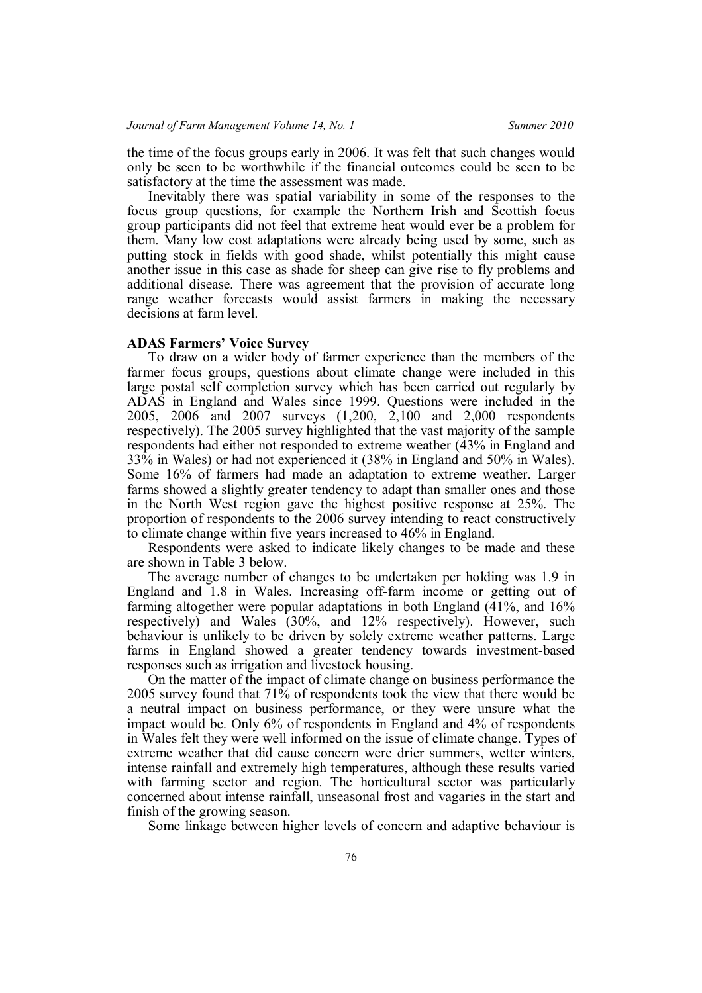the time of the focus groups early in 2006. It was felt that such changes would only be seen to be worthwhile if the financial outcomes could be seen to be satisfactory at the time the assessment was made.

Inevitably there was spatial variability in some of the responses to the focus group questions, for example the Northern Irish and Scottish focus group participants did not feel that extreme heat would ever be a problem for them. Many low cost adaptations were already being used by some, such as putting stock in fields with good shade, whilst potentially this might cause another issue in this case as shade for sheep can give rise to fly problems and additional disease. There was agreement that the provision of accurate long range weather forecasts would assist farmers in making the necessary decisions at farm level.

## **ADAS Farmers' Voice Survey**

To draw on a wider body of farmer experience than the members of the farmer focus groups, questions about climate change were included in this large postal self completion survey which has been carried out regularly by ADAS in England and Wales since 1999. Questions were included in the 2005, 2006 and 2007 surveys (1,200, 2,100 and 2,000 respondents respectively). The 2005 survey highlighted that the vast majority of the sample respondents had either not responded to extreme weather (43% in England and 33% in Wales) or had not experienced it (38% in England and 50% in Wales). Some 16% of farmers had made an adaptation to extreme weather. Larger farms showed a slightly greater tendency to adapt than smaller ones and those in the North West region gave the highest positive response at 25%. The proportion of respondents to the 2006 survey intending to react constructively to climate change within five years increased to 46% in England.

Respondents were asked to indicate likely changes to be made and these are shown in Table 3 below.

The average number of changes to be undertaken per holding was 1.9 in England and 1.8 in Wales. Increasing off-farm income or getting out of farming altogether were popular adaptations in both England (41%, and 16% respectively) and Wales (30%, and 12% respectively). However, such behaviour is unlikely to be driven by solely extreme weather patterns. Large farms in England showed a greater tendency towards investment-based responses such as irrigation and livestock housing.

On the matter of the impact of climate change on business performance the 2005 survey found that 71% of respondents took the view that there would be a neutral impact on business performance, or they were unsure what the impact would be. Only 6% of respondents in England and 4% of respondents in Wales felt they were well informed on the issue of climate change. Types of extreme weather that did cause concern were drier summers, wetter winters, intense rainfall and extremely high temperatures, although these results varied with farming sector and region. The horticultural sector was particularly concerned about intense rainfall, unseasonal frost and vagaries in the start and finish of the growing season.

Some linkage between higher levels of concern and adaptive behaviour is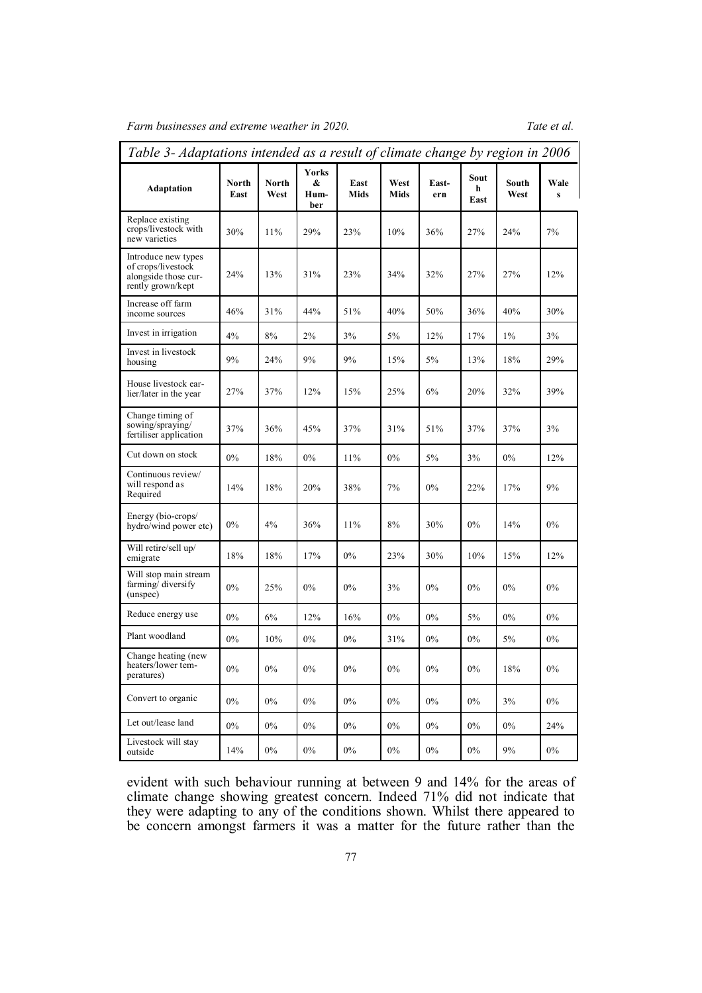*Farm businesses and extreme weather in 2020. Tate et al.*

| Table 3- Adaptations intended as a result of climate change by region in 2006          |               |               |                                  |              |                     |              |                   |               |                      |
|----------------------------------------------------------------------------------------|---------------|---------------|----------------------------------|--------------|---------------------|--------------|-------------------|---------------|----------------------|
| Adaptation                                                                             | North<br>East | North<br>West | <b>Yorks</b><br>&<br>Hum-<br>ber | East<br>Mids | West<br><b>Mids</b> | East-<br>ern | Sout<br>h<br>East | South<br>West | Wale<br>$\mathbf{s}$ |
| Replace existing<br>crops/livestock with<br>new varieties                              | 30%           | 11%           | 29%                              | 23%          | 10%                 | 36%          | 27%               | 24%           | 7%                   |
| Introduce new types<br>of crops/livestock<br>alongside those cur-<br>rently grown/kept | 24%           | 13%           | 31%                              | 23%          | 34%                 | 32%          | 27%               | 27%           | 12%                  |
| Increase off farm<br>income sources                                                    | 46%           | 31%           | 44%                              | 51%          | 40%                 | 50%          | 36%               | 40%           | 30%                  |
| Invest in irrigation                                                                   | 4%            | 8%            | 2%                               | 3%           | 5%                  | 12%          | 17%               | $1\%$         | 3%                   |
| Invest in livestock<br>housing                                                         | 9%            | 24%           | 9%                               | 9%           | 15%                 | 5%           | 13%               | 18%           | 29%                  |
| House livestock ear-<br>lier/later in the year                                         | 27%           | 37%           | 12%                              | 15%          | 25%                 | 6%           | 20%               | 32%           | 39%                  |
| Change timing of<br>sowing/spraying/<br>fertiliser application                         | 37%           | 36%           | 45%                              | 37%          | 31%                 | 51%          | 37%               | 37%           | 3%                   |
| Cut down on stock                                                                      | 0%            | 18%           | $0\%$                            | 11%          | 0%                  | 5%           | 3%                | 0%            | 12%                  |
| Continuous review/<br>will respond as<br>Required                                      | 14%           | 18%           | 20%                              | 38%          | 7%                  | $0\%$        | 22%               | 17%           | 9%                   |
| Energy (bio-crops/<br>hydro/wind power etc)                                            | 0%            | 4%            | 36%                              | 11%          | 8%                  | 30%          | 0%                | 14%           | $0\%$                |
| Will retire/sell up/<br>emigrate                                                       | 18%           | 18%           | 17%                              | $0\%$        | 23%                 | 30%          | 10%               | 15%           | 12%                  |
| Will stop main stream<br>farming diversify<br>(unspec)                                 | 0%            | 25%           | $0\%$                            | $0\%$        | 3%                  | $0\%$        | 0%                | 0%            | 0%                   |
| Reduce energy use                                                                      | $0\%$         | 6%            | 12%                              | 16%          | 0%                  | 0%           | 5%                | 0%            | 0%                   |
| Plant woodland                                                                         | 0%            | 10%           | $0\%$                            | 0%           | 31%                 | 0%           | 0%                | 5%            | 0%                   |
| Change heating (new<br>heaters/lower tem-<br>peratures)                                | $0\%$         | $0\%$         | $0\%$                            | $0\%$        | $0\%$               | $0\%$        | $0\%$             | $18\%$        | $0\%$                |
| Convert to organic                                                                     | $0\%$         | $0\%$         | $0\%$                            | $0\%$        | $0\%$               | $0\%$        | $0\%$             | $3\%$         | $0\%$                |
| Let out/lease land                                                                     | $0\%$         | $0\%$         | $0\%$                            | $0\%$        | $0\%$               | $0\%$        | $0\%$             | $0\%$         | 24%                  |
| Livestock will stay<br>outside                                                         | 14%           | $0\%$         | $0\%$                            | $0\%$        | $0\%$               | $0\%$        | $0\%$             | 9%            | $0\%$                |

evident with such behaviour running at between 9 and 14% for the areas of climate change showing greatest concern. Indeed 71% did not indicate that they were adapting to any of the conditions shown. Whilst there appeared to be concern amongst farmers it was a matter for the future rather than the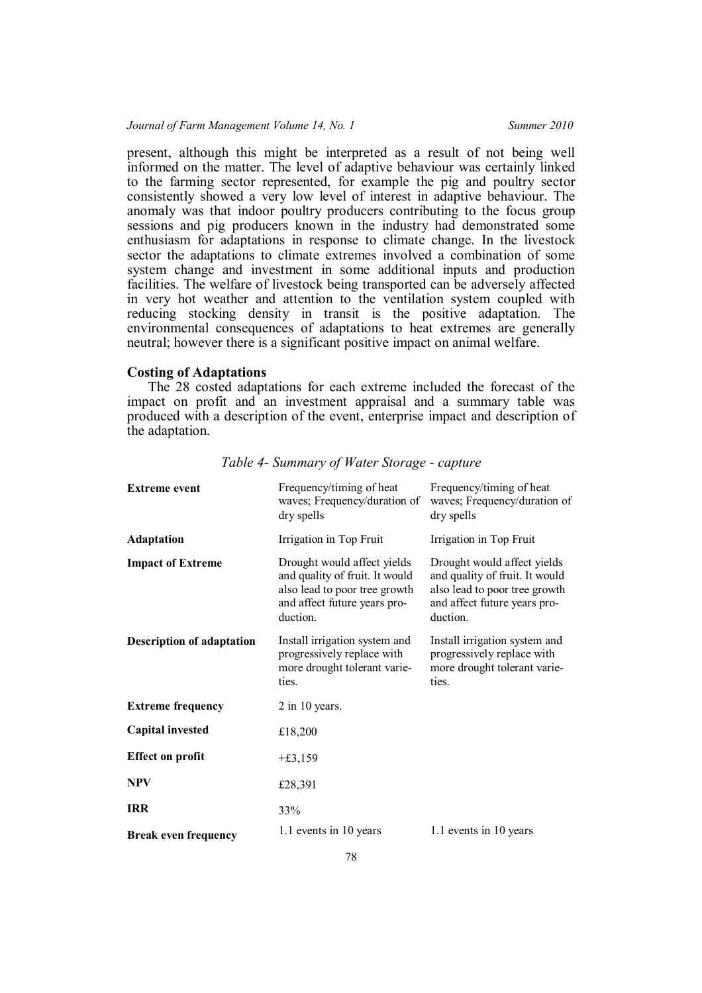present, although this might be interpreted as a result of not being well informed on the matter. The level of adaptive behaviour was certainly linked to the farming sector represented, for example the pig and poultry sector consistently showed a very low level of interest in adaptive behaviour. The anomaly was that indoor poultry producers contributing to the focus group sessions and pig producers known in the industry had demonstrated some enthusiasm for adaptations in response to climate change. In the livestock sector the adaptations to climate extremes involved a combination of some system change and investment in some additional inputs and production facilities. The welfare of livestock being transported can be adversely affected in very hot weather and attention to the ventilation system coupled with reducing stocking density in transit is the positive adaptation. The environmental consequences of adaptations to heat extremes are generally neutral; however there is a significant positive impact on animal welfare.

## **Costing of Adaptations**

The 28 costed adaptations for each extreme included the forecast of the impact on profit and an investment appraisal and a summary table was produced with a description of the event, enterprise impact and description of the adaptation.

| <b>Extreme event</b>             | Frequency/timing of heat<br>waves; Frequency/duration of<br>dry spells                                                                     | Frequency/timing of heat<br>waves; Frequency/duration of<br>dry spells                                                                     |
|----------------------------------|--------------------------------------------------------------------------------------------------------------------------------------------|--------------------------------------------------------------------------------------------------------------------------------------------|
| <b>Adaptation</b>                | Irrigation in Top Fruit                                                                                                                    | Irrigation in Top Fruit                                                                                                                    |
| <b>Impact of Extreme</b>         | Drought would affect yields<br>and quality of fruit. It would<br>also lead to poor tree growth<br>and affect future years pro-<br>duction. | Drought would affect yields<br>and quality of fruit. It would<br>also lead to poor tree growth<br>and affect future years pro-<br>duction. |
| <b>Description of adaptation</b> | Install irrigation system and<br>progressively replace with<br>more drought tolerant varie-<br>ties.                                       | Install irrigation system and<br>progressively replace with<br>more drought tolerant varie-<br>ties.                                       |
| <b>Extreme frequency</b>         | $2$ in 10 years.                                                                                                                           |                                                                                                                                            |
| <b>Capital invested</b>          | £18,200                                                                                                                                    |                                                                                                                                            |
| <b>Effect on profit</b>          | $+£3,159$                                                                                                                                  |                                                                                                                                            |
| <b>NPV</b>                       | £28,391                                                                                                                                    |                                                                                                                                            |
| <b>IRR</b>                       | 33%                                                                                                                                        |                                                                                                                                            |
| <b>Break even frequency</b>      | 1.1 events in 10 years                                                                                                                     | 1.1 events in 10 years                                                                                                                     |

*Table 4- Summary of Water Storage - capture*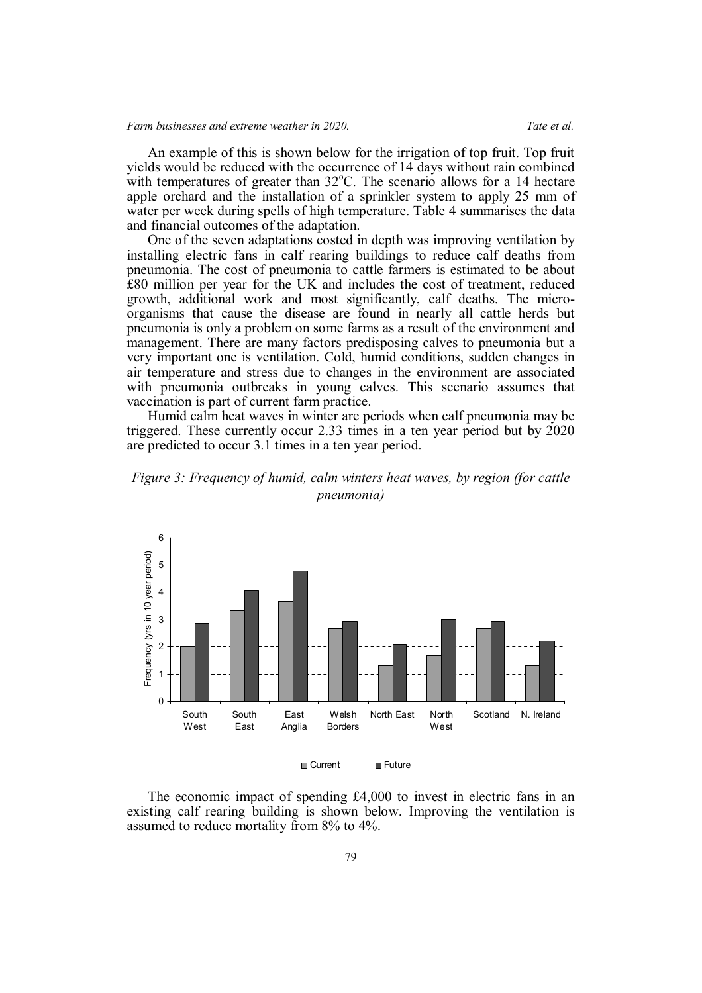An example of this is shown below for the irrigation of top fruit. Top fruit yields would be reduced with the occurrence of 14 days without rain combined with temperatures of greater than  $32^{\circ}$ C. The scenario allows for a 14 hectare apple orchard and the installation of a sprinkler system to apply 25 mm of water per week during spells of high temperature. Table 4 summarises the data and financial outcomes of the adaptation.

One of the seven adaptations costed in depth was improving ventilation by installing electric fans in calf rearing buildings to reduce calf deaths from pneumonia. The cost of pneumonia to cattle farmers is estimated to be about £80 million per year for the UK and includes the cost of treatment, reduced growth, additional work and most significantly, calf deaths. The microorganisms that cause the disease are found in nearly all cattle herds but pneumonia is only a problem on some farms as a result of the environment and management. There are many factors predisposing calves to pneumonia but a very important one is ventilation. Cold, humid conditions, sudden changes in air temperature and stress due to changes in the environment are associated with pneumonia outbreaks in young calves. This scenario assumes that vaccination is part of current farm practice.

Humid calm heat waves in winter are periods when calf pneumonia may be triggered. These currently occur 2.33 times in a ten year period but by 2020 are predicted to occur 3.1 times in a ten year period.





The economic impact of spending £4,000 to invest in electric fans in an existing calf rearing building is shown below. Improving the ventilation is assumed to reduce mortality from 8% to 4%.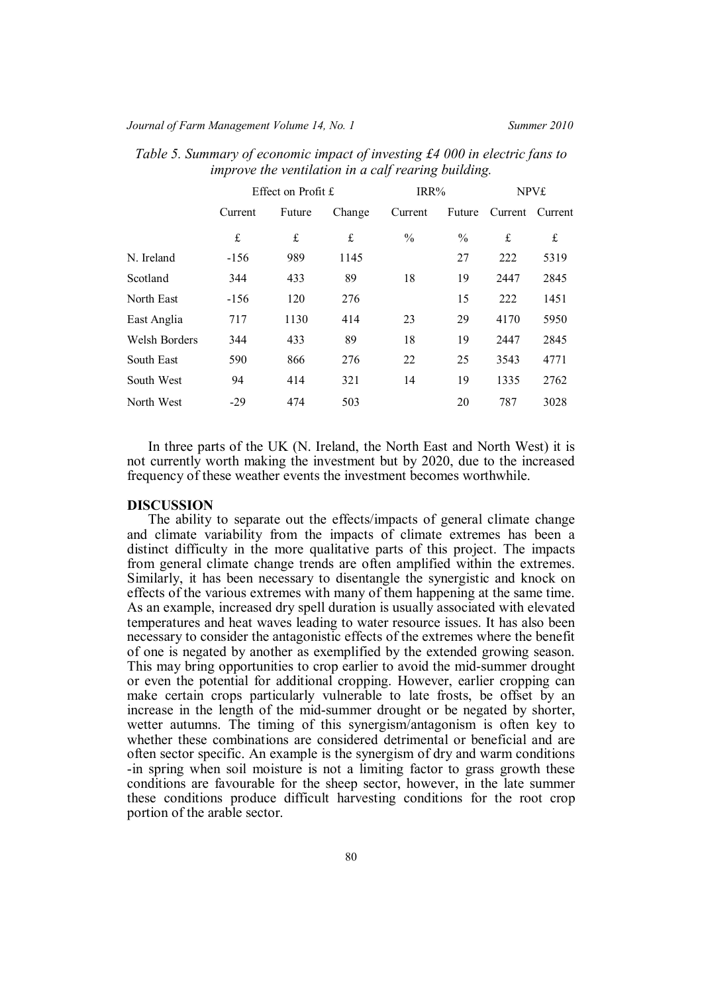## *Journal of Farm Management Volume 14, No. 1 Summer 2010*

|               |         | Effect on Profit £ |           | IRR%          |               | <b>NPV£</b> |         |
|---------------|---------|--------------------|-----------|---------------|---------------|-------------|---------|
|               | Current | Future             | Change    | Current       | Future        | Current     | Current |
|               | £       | £                  | $\pounds$ | $\frac{0}{0}$ | $\frac{0}{0}$ | £           | £       |
| N. Ireland    | $-156$  | 989                | 1145      |               | 27            | 222         | 5319    |
| Scotland      | 344     | 433                | 89        | 18            | 19            | 2447        | 2845    |
| North East    | $-156$  | 120                | 276       |               | 15            | 222         | 1451    |
| East Anglia   | 717     | 1130               | 414       | 23            | 29            | 4170        | 5950    |
| Welsh Borders | 344     | 433                | 89        | 18            | 19            | 2447        | 2845    |
| South East    | 590     | 866                | 276       | 22            | 25            | 3543        | 4771    |
| South West    | 94      | 414                | 321       | 14            | 19            | 1335        | 2762    |
| North West    | $-29$   | 474                | 503       |               | 20            | 787         | 3028    |

*Table 5. Summary of economic impact of investing £4 000 in electric fans to improve the ventilation in a calf rearing building.*

In three parts of the UK (N. Ireland, the North East and North West) it is not currently worth making the investment but by 2020, due to the increased frequency of these weather events the investment becomes worthwhile.

#### **DISCUSSION**

The ability to separate out the effects/impacts of general climate change and climate variability from the impacts of climate extremes has been a distinct difficulty in the more qualitative parts of this project. The impacts from general climate change trends are often amplified within the extremes. Similarly, it has been necessary to disentangle the synergistic and knock on effects of the various extremes with many of them happening at the same time. As an example, increased dry spell duration is usually associated with elevated temperatures and heat waves leading to water resource issues. It has also been necessary to consider the antagonistic effects of the extremes where the benefit of one is negated by another as exemplified by the extended growing season. This may bring opportunities to crop earlier to avoid the mid-summer drought or even the potential for additional cropping. However, earlier cropping can make certain crops particularly vulnerable to late frosts, be offset by an increase in the length of the mid-summer drought or be negated by shorter, wetter autumns. The timing of this synergism/antagonism is often key to whether these combinations are considered detrimental or beneficial and are often sector specific. An example is the synergism of dry and warm conditions -in spring when soil moisture is not a limiting factor to grass growth these conditions are favourable for the sheep sector, however, in the late summer these conditions produce difficult harvesting conditions for the root crop portion of the arable sector.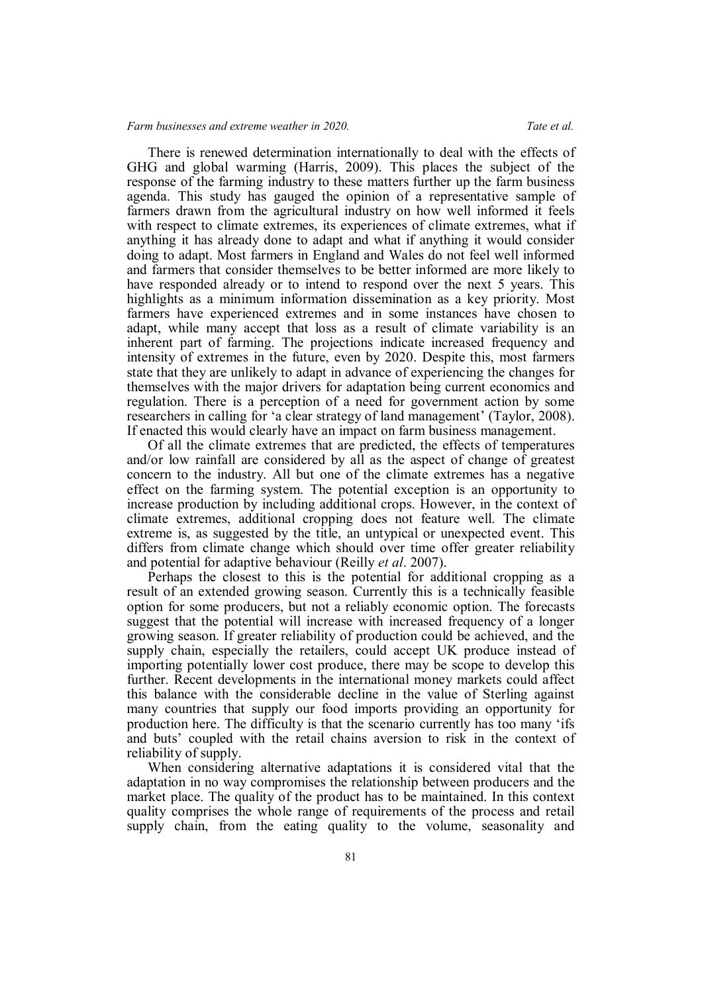## *Farm businesses and extreme weather in 2020. Tate et al.*

There is renewed determination internationally to deal with the effects of GHG and global warming (Harris, 2009). This places the subject of the response of the farming industry to these matters further up the farm business agenda. This study has gauged the opinion of a representative sample of farmers drawn from the agricultural industry on how well informed it feels with respect to climate extremes, its experiences of climate extremes, what if anything it has already done to adapt and what if anything it would consider doing to adapt. Most farmers in England and Wales do not feel well informed and farmers that consider themselves to be better informed are more likely to have responded already or to intend to respond over the next 5 years. This highlights as a minimum information dissemination as a key priority. Most farmers have experienced extremes and in some instances have chosen to adapt, while many accept that loss as a result of climate variability is an inherent part of farming. The projections indicate increased frequency and intensity of extremes in the future, even by 2020. Despite this, most farmers state that they are unlikely to adapt in advance of experiencing the changes for themselves with the major drivers for adaptation being current economics and regulation. There is a perception of a need for government action by some researchers in calling for 'a clear strategy of land management' (Taylor, 2008). If enacted this would clearly have an impact on farm business management.

Of all the climate extremes that are predicted, the effects of temperatures and/or low rainfall are considered by all as the aspect of change of greatest concern to the industry. All but one of the climate extremes has a negative effect on the farming system. The potential exception is an opportunity to increase production by including additional crops. However, in the context of climate extremes, additional cropping does not feature well. The climate extreme is, as suggested by the title, an untypical or unexpected event. This differs from climate change which should over time offer greater reliability and potential for adaptive behaviour (Reilly *et al*. 2007).

Perhaps the closest to this is the potential for additional cropping as a result of an extended growing season. Currently this is a technically feasible option for some producers, but not a reliably economic option. The forecasts suggest that the potential will increase with increased frequency of a longer growing season. If greater reliability of production could be achieved, and the supply chain, especially the retailers, could accept UK produce instead of importing potentially lower cost produce, there may be scope to develop this further. Recent developments in the international money markets could affect this balance with the considerable decline in the value of Sterling against many countries that supply our food imports providing an opportunity for production here. The difficulty is that the scenario currently has too many 'ifs and buts' coupled with the retail chains aversion to risk in the context of reliability of supply.

When considering alternative adaptations it is considered vital that the adaptation in no way compromises the relationship between producers and the market place. The quality of the product has to be maintained. In this context quality comprises the whole range of requirements of the process and retail supply chain, from the eating quality to the volume, seasonality and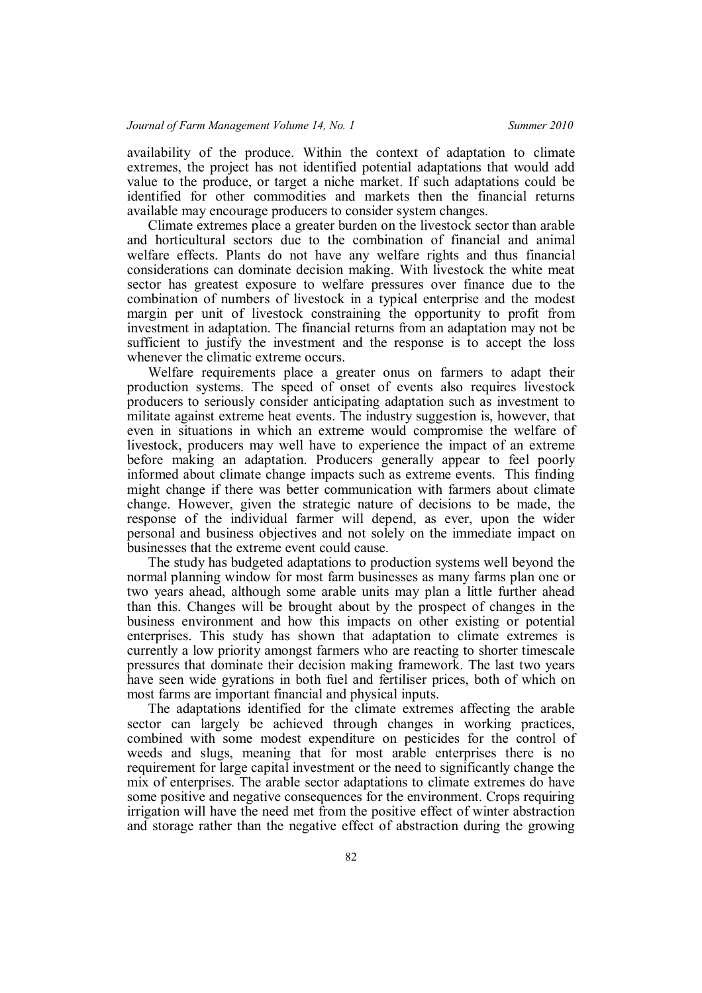availability of the produce. Within the context of adaptation to climate extremes, the project has not identified potential adaptations that would add value to the produce, or target a niche market. If such adaptations could be identified for other commodities and markets then the financial returns available may encourage producers to consider system changes.

Climate extremes place a greater burden on the livestock sector than arable and horticultural sectors due to the combination of financial and animal welfare effects. Plants do not have any welfare rights and thus financial considerations can dominate decision making. With livestock the white meat sector has greatest exposure to welfare pressures over finance due to the combination of numbers of livestock in a typical enterprise and the modest margin per unit of livestock constraining the opportunity to profit from investment in adaptation. The financial returns from an adaptation may not be sufficient to justify the investment and the response is to accept the loss whenever the climatic extreme occurs.

Welfare requirements place a greater onus on farmers to adapt their production systems. The speed of onset of events also requires livestock producers to seriously consider anticipating adaptation such as investment to militate against extreme heat events. The industry suggestion is, however, that even in situations in which an extreme would compromise the welfare of livestock, producers may well have to experience the impact of an extreme before making an adaptation. Producers generally appear to feel poorly informed about climate change impacts such as extreme events. This finding might change if there was better communication with farmers about climate change. However, given the strategic nature of decisions to be made, the response of the individual farmer will depend, as ever, upon the wider personal and business objectives and not solely on the immediate impact on businesses that the extreme event could cause.

The study has budgeted adaptations to production systems well beyond the normal planning window for most farm businesses as many farms plan one or two years ahead, although some arable units may plan a little further ahead than this. Changes will be brought about by the prospect of changes in the business environment and how this impacts on other existing or potential enterprises. This study has shown that adaptation to climate extremes is currently a low priority amongst farmers who are reacting to shorter timescale pressures that dominate their decision making framework. The last two years have seen wide gyrations in both fuel and fertiliser prices, both of which on most farms are important financial and physical inputs.

The adaptations identified for the climate extremes affecting the arable sector can largely be achieved through changes in working practices, combined with some modest expenditure on pesticides for the control of weeds and slugs, meaning that for most arable enterprises there is no requirement for large capital investment or the need to significantly change the mix of enterprises. The arable sector adaptations to climate extremes do have some positive and negative consequences for the environment. Crops requiring irrigation will have the need met from the positive effect of winter abstraction and storage rather than the negative effect of abstraction during the growing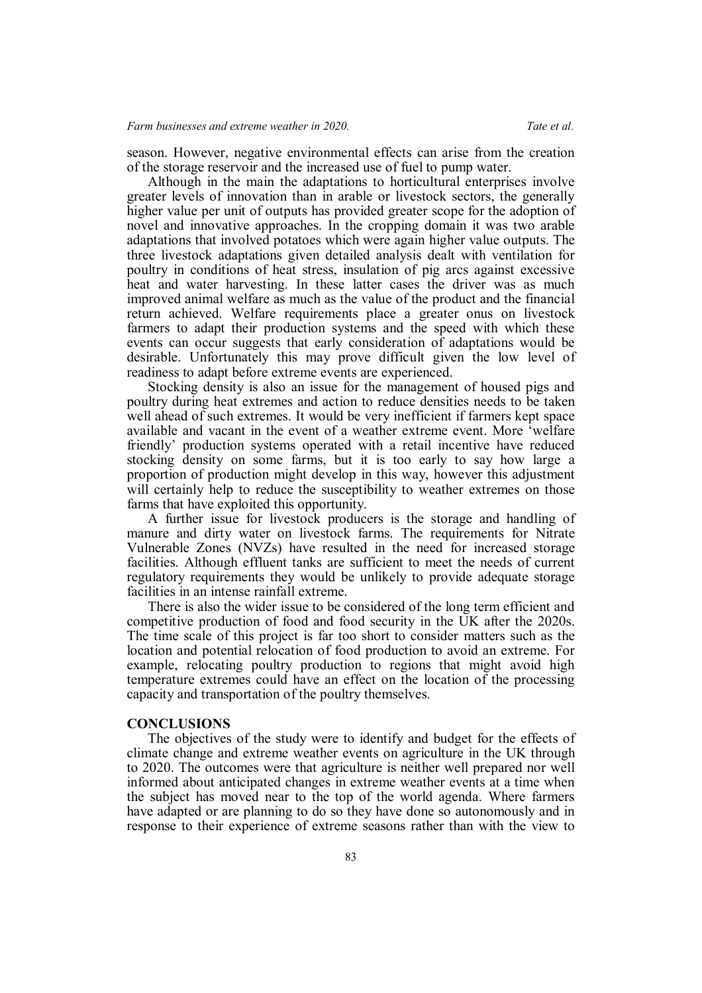season. However, negative environmental effects can arise from the creation of the storage reservoir and the increased use of fuel to pump water.

Although in the main the adaptations to horticultural enterprises involve greater levels of innovation than in arable or livestock sectors, the generally higher value per unit of outputs has provided greater scope for the adoption of novel and innovative approaches. In the cropping domain it was two arable adaptations that involved potatoes which were again higher value outputs. The three livestock adaptations given detailed analysis dealt with ventilation for poultry in conditions of heat stress, insulation of pig arcs against excessive heat and water harvesting. In these latter cases the driver was as much improved animal welfare as much as the value of the product and the financial return achieved. Welfare requirements place a greater onus on livestock farmers to adapt their production systems and the speed with which these events can occur suggests that early consideration of adaptations would be desirable. Unfortunately this may prove difficult given the low level of readiness to adapt before extreme events are experienced.

Stocking density is also an issue for the management of housed pigs and poultry during heat extremes and action to reduce densities needs to be taken well ahead of such extremes. It would be very inefficient if farmers kept space available and vacant in the event of a weather extreme event. More 'welfare friendly' production systems operated with a retail incentive have reduced stocking density on some farms, but it is too early to say how large a proportion of production might develop in this way, however this adjustment will certainly help to reduce the susceptibility to weather extremes on those farms that have exploited this opportunity.

A further issue for livestock producers is the storage and handling of manure and dirty water on livestock farms. The requirements for Nitrate Vulnerable Zones (NVZs) have resulted in the need for increased storage facilities. Although effluent tanks are sufficient to meet the needs of current regulatory requirements they would be unlikely to provide adequate storage facilities in an intense rainfall extreme.

There is also the wider issue to be considered of the long term efficient and competitive production of food and food security in the UK after the 2020s. The time scale of this project is far too short to consider matters such as the location and potential relocation of food production to avoid an extreme. For example, relocating poultry production to regions that might avoid high temperature extremes could have an effect on the location of the processing capacity and transportation of the poultry themselves.

#### **CONCLUSIONS**

The objectives of the study were to identify and budget for the effects of climate change and extreme weather events on agriculture in the UK through to 2020. The outcomes were that agriculture is neither well prepared nor well informed about anticipated changes in extreme weather events at a time when the subject has moved near to the top of the world agenda. Where farmers have adapted or are planning to do so they have done so autonomously and in response to their experience of extreme seasons rather than with the view to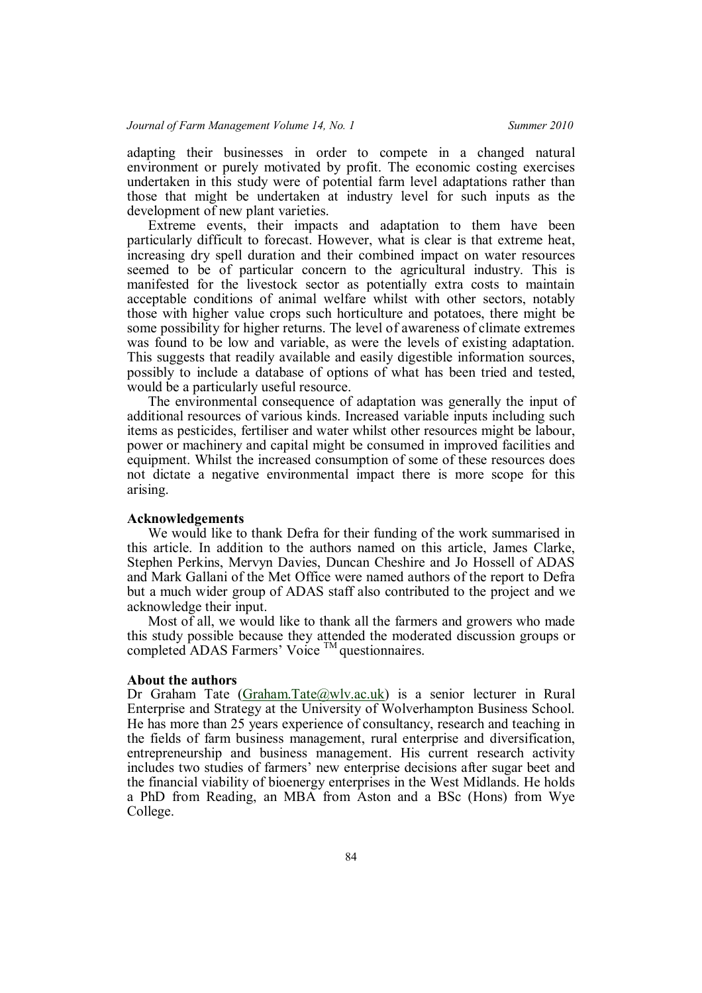adapting their businesses in order to compete in a changed natural environment or purely motivated by profit. The economic costing exercises undertaken in this study were of potential farm level adaptations rather than those that might be undertaken at industry level for such inputs as the development of new plant varieties.

Extreme events, their impacts and adaptation to them have been particularly difficult to forecast. However, what is clear is that extreme heat, increasing dry spell duration and their combined impact on water resources seemed to be of particular concern to the agricultural industry. This is manifested for the livestock sector as potentially extra costs to maintain acceptable conditions of animal welfare whilst with other sectors, notably those with higher value crops such horticulture and potatoes, there might be some possibility for higher returns. The level of awareness of climate extremes was found to be low and variable, as were the levels of existing adaptation. This suggests that readily available and easily digestible information sources, possibly to include a database of options of what has been tried and tested, would be a particularly useful resource.

The environmental consequence of adaptation was generally the input of additional resources of various kinds. Increased variable inputs including such items as pesticides, fertiliser and water whilst other resources might be labour, power or machinery and capital might be consumed in improved facilities and equipment. Whilst the increased consumption of some of these resources does not dictate a negative environmental impact there is more scope for this arising.

## **Acknowledgements**

We would like to thank Defra for their funding of the work summarised in this article. In addition to the authors named on this article, James Clarke, Stephen Perkins, Mervyn Davies, Duncan Cheshire and Jo Hossell of ADAS and Mark Gallani of the Met Office were named authors of the report to Defra but a much wider group of ADAS staff also contributed to the project and we acknowledge their input.

Most of all, we would like to thank all the farmers and growers who made this study possible because they attended the moderated discussion groups or completed ADAS Farmers' Voice TM questionnaires.

#### **About the authors**

Dr Graham Tate (Graham.Tate@wlv.ac.uk) is a senior lecturer in Rural Enterprise and Strategy at the University of Wolverhampton Business School. He has more than 25 years experience of consultancy, research and teaching in the fields of farm business management, rural enterprise and diversification, entrepreneurship and business management. His current research activity includes two studies of farmers' new enterprise decisions after sugar beet and the financial viability of bioenergy enterprises in the West Midlands. He holds a PhD from Reading, an MBA from Aston and a BSc (Hons) from Wye College.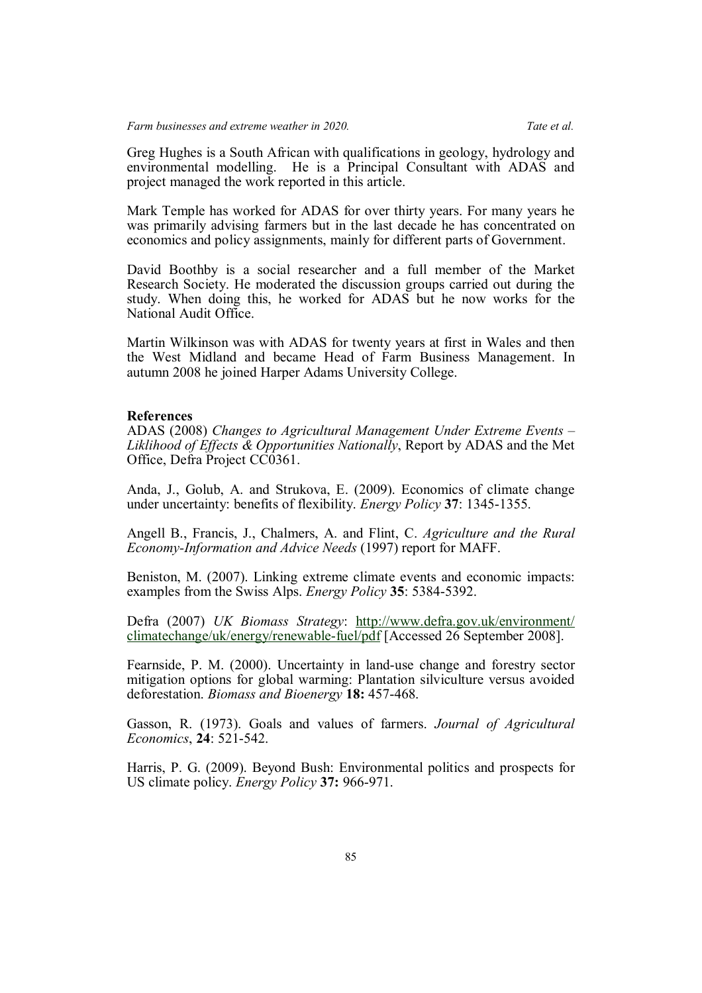Greg Hughes is a South African with qualifications in geology, hydrology and environmental modelling. He is a Principal Consultant with ADAS and project managed the work reported in this article.

Mark Temple has worked for ADAS for over thirty years. For many years he was primarily advising farmers but in the last decade he has concentrated on economics and policy assignments, mainly for different parts of Government.

David Boothby is a social researcher and a full member of the Market Research Society. He moderated the discussion groups carried out during the study. When doing this, he worked for ADAS but he now works for the National Audit Office.

Martin Wilkinson was with ADAS for twenty years at first in Wales and then the West Midland and became Head of Farm Business Management. In autumn 2008 he joined Harper Adams University College.

## **References**

ADAS (2008) *Changes to Agricultural Management Under Extreme Events – Liklihood of Effects & Opportunities Nationally*, Report by ADAS and the Met Office, Defra Project CC0361.

Anda, J., Golub, A. and Strukova, E. (2009). Economics of climate change under uncertainty: benefits of flexibility. *Energy Policy* **37**: 1345-1355.

Angell B., Francis, J., Chalmers, A. and Flint, C. *Agriculture and the Rural Economy-Information and Advice Needs* (1997) report for MAFF.

Beniston, M. (2007). Linking extreme climate events and economic impacts: examples from the Swiss Alps. *Energy Policy* **35**: 5384-5392.

Defra (2007) *UK Biomass Strategy*: http://www.defra.gov.uk/environment/ climatechange/uk/energy/renewable-fuel/pdf [Accessed 26 September 2008].

Fearnside, P. M. (2000). Uncertainty in land-use change and forestry sector mitigation options for global warming: Plantation silviculture versus avoided deforestation. *Biomass and Bioenergy* **18:** 457-468.

Gasson, R. (1973). Goals and values of farmers. *Journal of Agricultural Economics*, **24**: 521-542.

Harris, P. G. (2009). Beyond Bush: Environmental politics and prospects for US climate policy. *Energy Policy* **37:** 966-971.